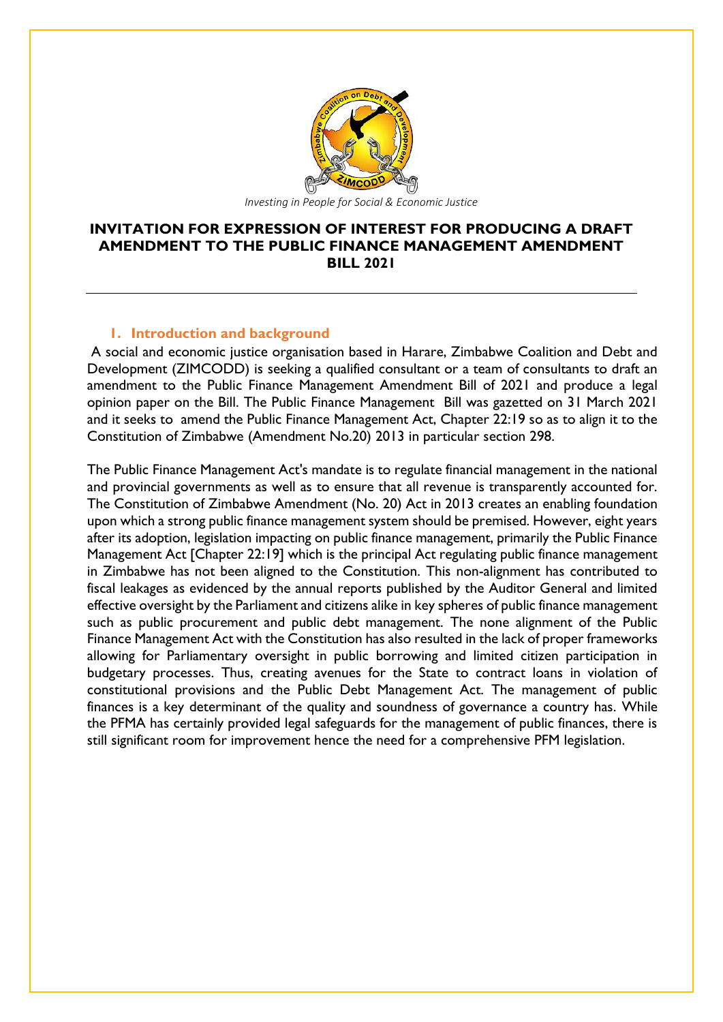

## **INVITATION FOR EXPRESSION OF INTEREST FOR PRODUCING A DRAFT AMENDMENT TO THE PUBLIC FINANCE MANAGEMENT AMENDMENT BILL 2021**

## **1. Introduction and background**

A social and economic justice organisation based in Harare, Zimbabwe Coalition and Debt and Development (ZIMCODD) is seeking a qualified consultant or a team of consultants to draft an amendment to the Public Finance Management Amendment Bill of 2021 and produce a legal opinion paper on the Bill. The Public Finance Management Bill was gazetted on 31 March 2021 and it seeks to amend the Public Finance Management Act, Chapter 22:19 so as to align it to the Constitution of Zimbabwe (Amendment No.20) 2013 in particular section 298.

The Public Finance Management Act's mandate is to regulate financial management in the national and provincial governments as well as to ensure that all revenue is transparently accounted for. The Constitution of Zimbabwe Amendment (No. 20) Act in 2013 creates an enabling foundation upon which a strong public finance management system should be premised. However, eight years after its adoption, legislation impacting on public finance management, primarily the Public Finance Management Act [Chapter 22:19] which is the principal Act regulating public finance management in Zimbabwe has not been aligned to the Constitution. This non-alignment has contributed to fiscal leakages as evidenced by the annual reports published by the Auditor General and limited effective oversight by the Parliament and citizens alike in key spheres of public finance management such as public procurement and public debt management. The none alignment of the Public Finance Management Act with the Constitution has also resulted in the lack of proper frameworks allowing for Parliamentary oversight in public borrowing and limited citizen participation in budgetary processes. Thus, creating avenues for the State to contract loans in violation of constitutional provisions and the Public Debt Management Act. The management of public finances is a key determinant of the quality and soundness of governance a country has. While the PFMA has certainly provided legal safeguards for the management of public finances, there is still significant room for improvement hence the need for a comprehensive PFM legislation.